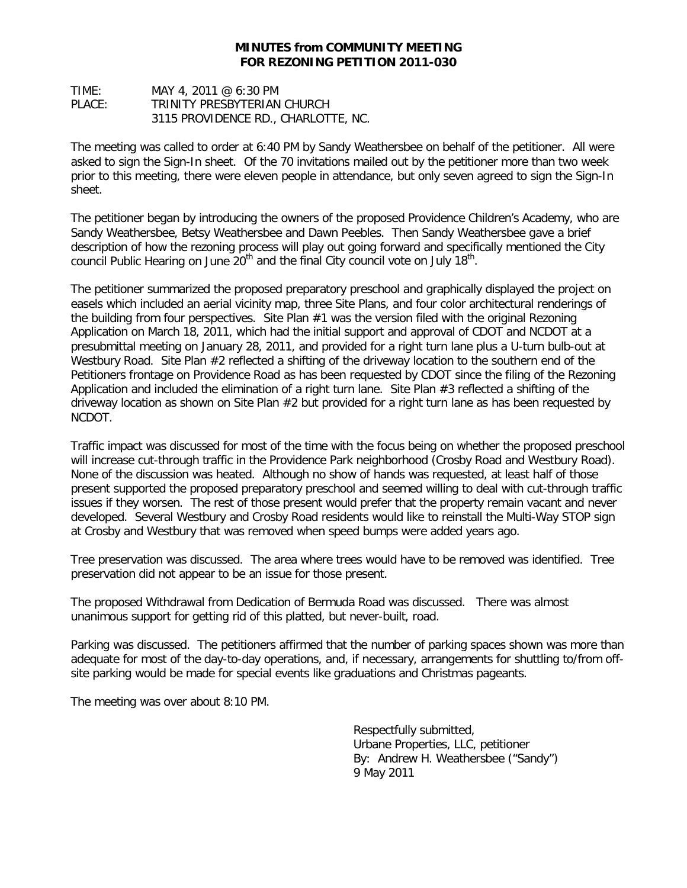## **MINUTES from COMMUNITY MEETING FOR REZONING PETITION 2011-030**

TIME: MAY 4, 2011 @ 6:30 PM PLACE: TRINITY PRESBYTERIAN CHURCH 3115 PROVIDENCE RD., CHARLOTTE, NC.

The meeting was called to order at 6:40 PM by Sandy Weathersbee on behalf of the petitioner. All were asked to sign the Sign-In sheet. Of the 70 invitations mailed out by the petitioner more than two week prior to this meeting, there were eleven people in attendance, but only seven agreed to sign the Sign-In sheet.

The petitioner began by introducing the owners of the proposed Providence Children's Academy, who are Sandy Weathersbee, Betsy Weathersbee and Dawn Peebles. Then Sandy Weathersbee gave a brief description of how the rezoning process will play out going forward and specifically mentioned the City council Public Hearing on June  $20<sup>th</sup>$  and the final City council vote on July 18<sup>th</sup>.

The petitioner summarized the proposed preparatory preschool and graphically displayed the project on easels which included an aerial vicinity map, three Site Plans, and four color architectural renderings of the building from four perspectives. Site Plan #1 was the version filed with the original Rezoning Application on March 18, 2011, which had the initial support and approval of CDOT and NCDOT at a presubmittal meeting on January 28, 2011, and provided for a right turn lane plus a U-turn bulb-out at Westbury Road. Site Plan #2 reflected a shifting of the driveway location to the southern end of the Petitioners frontage on Providence Road as has been requested by CDOT since the filing of the Rezoning Application and included the elimination of a right turn lane. Site Plan #3 reflected a shifting of the driveway location as shown on Site Plan #2 but provided for a right turn lane as has been requested by NCDOT.

Traffic impact was discussed for most of the time with the focus being on whether the proposed preschool will increase cut-through traffic in the Providence Park neighborhood (Crosby Road and Westbury Road). None of the discussion was heated. Although no show of hands was requested, at least half of those present supported the proposed preparatory preschool and seemed willing to deal with cut-through traffic issues if they worsen. The rest of those present would prefer that the property remain vacant and never developed. Several Westbury and Crosby Road residents would like to reinstall the Multi-Way STOP sign at Crosby and Westbury that was removed when speed bumps were added years ago.

Tree preservation was discussed. The area where trees would have to be removed was identified. Tree preservation did not appear to be an issue for those present.

The proposed Withdrawal from Dedication of Bermuda Road was discussed. There was almost unanimous support for getting rid of this platted, but never-built, road.

Parking was discussed. The petitioners affirmed that the number of parking spaces shown was more than adequate for most of the day-to-day operations, and, if necessary, arrangements for shuttling to/from offsite parking would be made for special events like graduations and Christmas pageants.

The meeting was over about 8:10 PM.

Respectfully submitted, Urbane Properties, LLC, petitioner By: Andrew H. Weathersbee ("Sandy") 9 May 2011